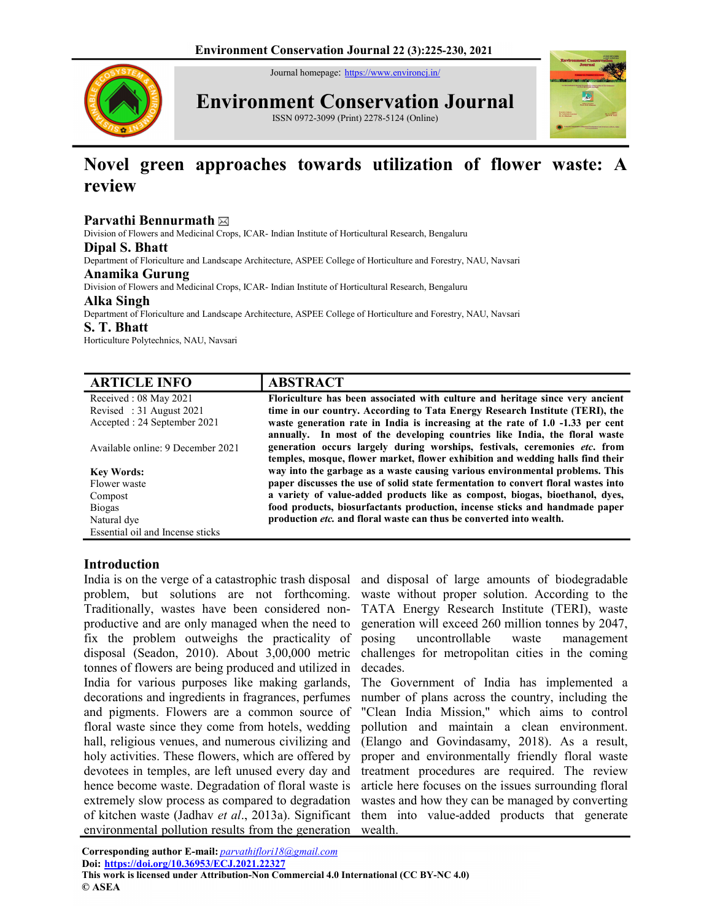Journal homepage: https://www.environcj.in/



Environment Conservation Journal

ISSN 0972-3099 (Print) 2278-5124 (Online)



# Novel green approaches towards utilization of flower waste: A review

# Parvathi Bennurmath ⊠

Division of Flowers and Medicinal Crops, ICAR- Indian Institute of Horticultural Research, Bengaluru

#### Dipal S. Bhatt

Department of Floriculture and Landscape Architecture, ASPEE College of Horticulture and Forestry, NAU, Navsari

## Anamika Gurung

Division of Flowers and Medicinal Crops, ICAR- Indian Institute of Horticultural Research, Bengaluru

#### Alka Singh

Department of Floriculture and Landscape Architecture, ASPEE College of Horticulture and Forestry, NAU, Navsari

#### S. T. Bhatt

Horticulture Polytechnics, NAU, Navsari

| <b>ARTICLE INFO</b>               | <b>ABSTRACT</b>                                                                                                                                                                                                                            |
|-----------------------------------|--------------------------------------------------------------------------------------------------------------------------------------------------------------------------------------------------------------------------------------------|
| Received: 08 May 2021             | Floriculture has been associated with culture and heritage since very ancient                                                                                                                                                              |
| Revised: 31 August 2021           | time in our country. According to Tata Energy Research Institute (TERI), the                                                                                                                                                               |
| Accepted : 24 September 2021      | waste generation rate in India is increasing at the rate of 1.0 -1.33 per cent                                                                                                                                                             |
| Available online: 9 December 2021 | annually. In most of the developing countries like India, the floral waste<br>generation occurs largely during worships, festivals, ceremonies etc. from<br>temples, mosque, flower market, flower exhibition and wedding halls find their |
| <b>Key Words:</b>                 | way into the garbage as a waste causing various environmental problems. This                                                                                                                                                               |
| Flower waste                      | paper discusses the use of solid state fermentation to convert floral wastes into                                                                                                                                                          |
| Compost                           | a variety of value-added products like as compost, biogas, bioethanol, dyes,                                                                                                                                                               |
| <b>Biogas</b>                     | food products, biosurfactants production, incense sticks and handmade paper                                                                                                                                                                |
| Natural dye                       | production <i>etc.</i> and floral waste can thus be converted into wealth.                                                                                                                                                                 |
| Essential oil and Incense sticks  |                                                                                                                                                                                                                                            |

# Introduction

India is on the verge of a catastrophic trash disposal and disposal of large amounts of biodegradable problem, but solutions are not forthcoming. Traditionally, wastes have been considered nonproductive and are only managed when the need to fix the problem outweighs the practicality of disposal (Seadon, 2010). About 3,00,000 metric tonnes of flowers are being produced and utilized in India for various purposes like making garlands, decorations and ingredients in fragrances, perfumes and pigments. Flowers are a common source of floral waste since they come from hotels, wedding hall, religious venues, and numerous civilizing and holy activities. These flowers, which are offered by devotees in temples, are left unused every day and hence become waste. Degradation of floral waste is extremely slow process as compared to degradation of kitchen waste (Jadhav et al., 2013a). Significant environmental pollution results from the generation

waste without proper solution. According to the TATA Energy Research Institute (TERI), waste generation will exceed 260 million tonnes by 2047, posing uncontrollable waste management challenges for metropolitan cities in the coming decades.

The Government of India has implemented a number of plans across the country, including the "Clean India Mission," which aims to control pollution and maintain a clean environment. (Elango and Govindasamy, 2018). As a result, proper and environmentally friendly floral waste treatment procedures are required. The review article here focuses on the issues surrounding floral wastes and how they can be managed by converting them into value-added products that generate wealth.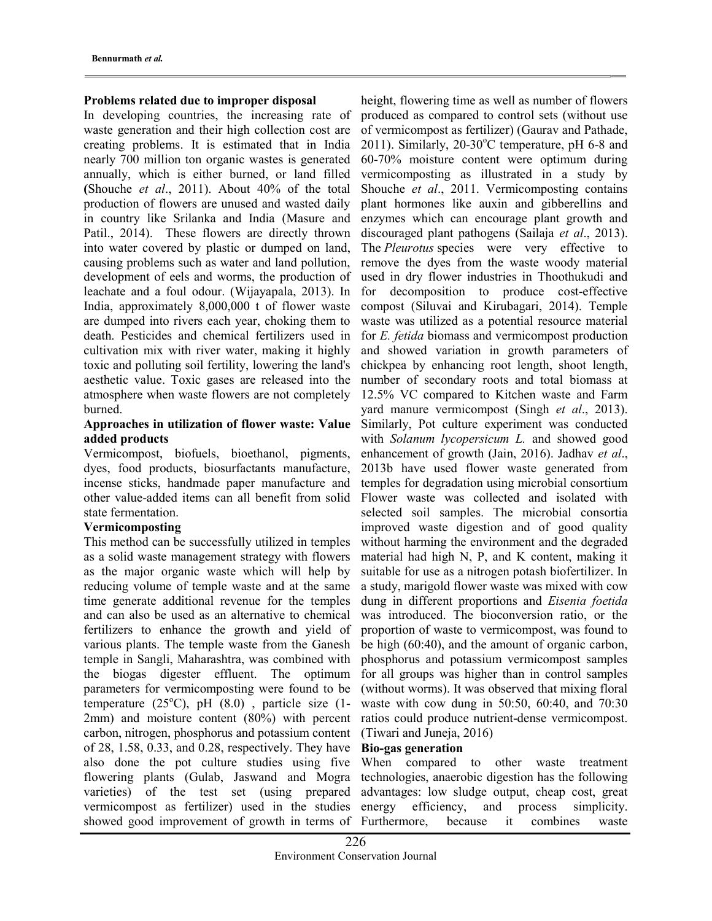#### Problems related due to improper disposal

In developing countries, the increasing rate of waste generation and their high collection cost are creating problems. It is estimated that in India nearly 700 million ton organic wastes is generated annually, which is either burned, or land filled (Shouche et al., 2011). About 40% of the total production of flowers are unused and wasted daily in country like Srilanka and India (Masure and Patil., 2014). These flowers are directly thrown into water covered by plastic or dumped on land, causing problems such as water and land pollution, development of eels and worms, the production of leachate and a foul odour. (Wijayapala, 2013). In India, approximately 8,000,000 t of flower waste are dumped into rivers each year, choking them to death. Pesticides and chemical fertilizers used in cultivation mix with river water, making it highly toxic and polluting soil fertility, lowering the land's aesthetic value. Toxic gases are released into the atmosphere when waste flowers are not completely burned.

## Approaches in utilization of flower waste: Value added products

Vermicompost, biofuels, bioethanol, pigments, dyes, food products, biosurfactants manufacture, incense sticks, handmade paper manufacture and other value-added items can all benefit from solid state fermentation.

## Vermicomposting

This method can be successfully utilized in temples as a solid waste management strategy with flowers as the major organic waste which will help by reducing volume of temple waste and at the same time generate additional revenue for the temples and can also be used as an alternative to chemical fertilizers to enhance the growth and yield of various plants. The temple waste from the Ganesh temple in Sangli, Maharashtra, was combined with the biogas digester effluent. The optimum parameters for vermicomposting were found to be temperature  $(25^{\circ}C)$ , pH  $(8.0)$ , particle size (1-2mm) and moisture content (80%) with percent carbon, nitrogen, phosphorus and potassium content of 28, 1.58, 0.33, and 0.28, respectively. They have also done the pot culture studies using five flowering plants (Gulab, Jaswand and Mogra varieties) of the test set (using prepared vermicompost as fertilizer) used in the studies showed good improvement of growth in terms of

height, flowering time as well as number of flowers produced as compared to control sets (without use of vermicompost as fertilizer) (Gaurav and Pathade, 2011). Similarly,  $20-30^{\circ}$ C temperature, pH 6-8 and 60-70% moisture content were optimum during vermicomposting as illustrated in a study by Shouche et al., 2011. Vermicomposting contains plant hormones like auxin and gibberellins and enzymes which can encourage plant growth and discouraged plant pathogens (Sailaja *et al.*, 2013). The *Pleurotus* species were very effective to remove the dyes from the waste woody material used in dry flower industries in Thoothukudi and for decomposition to produce cost-effective compost (Siluvai and Kirubagari, 2014). Temple waste was utilized as a potential resource material for E. fetida biomass and vermicompost production and showed variation in growth parameters of chickpea by enhancing root length, shoot length, number of secondary roots and total biomass at 12.5% VC compared to Kitchen waste and Farm yard manure vermicompost (Singh et al., 2013). Similarly, Pot culture experiment was conducted with Solanum lycopersicum L. and showed good enhancement of growth (Jain, 2016). Jadhav et al., 2013b have used flower waste generated from temples for degradation using microbial consortium Flower waste was collected and isolated with selected soil samples. The microbial consortia improved waste digestion and of good quality without harming the environment and the degraded material had high N, P, and K content, making it suitable for use as a nitrogen potash biofertilizer. In a study, marigold flower waste was mixed with cow dung in different proportions and Eisenia foetida was introduced. The bioconversion ratio, or the proportion of waste to vermicompost, was found to be high (60:40), and the amount of organic carbon, phosphorus and potassium vermicompost samples for all groups was higher than in control samples (without worms). It was observed that mixing floral waste with cow dung in 50:50, 60:40, and 70:30 ratios could produce nutrient-dense vermicompost. (Tiwari and Juneja, 2016)

## Bio-gas generation

When compared to other waste treatment technologies, anaerobic digestion has the following advantages: low sludge output, cheap cost, great energy efficiency, and process simplicity. Furthermore, because it combines waste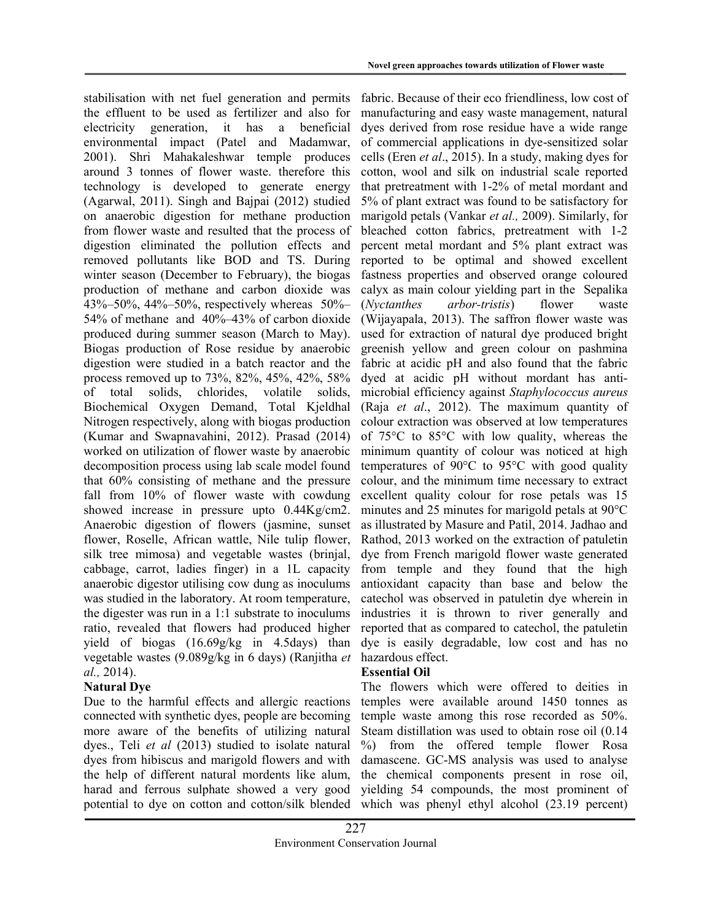stabilisation with net fuel generation and permits the effluent to be used as fertilizer and also for electricity generation, it has a beneficial environmental impact (Patel and Madamwar, 2001). Shri Mahakaleshwar temple produces around 3 tonnes of flower waste. therefore this technology is developed to generate energy (Agarwal, 2011). Singh and Bajpai (2012) studied on anaerobic digestion for methane production from flower waste and resulted that the process of digestion eliminated the pollution effects and removed pollutants like BOD and TS. During winter season (December to February), the biogas production of methane and carbon dioxide was 43%–50%, 44%–50%, respectively whereas 50%– 54% of methane and 40%–43% of carbon dioxide produced during summer season (March to May). Biogas production of Rose residue by anaerobic digestion were studied in a batch reactor and the process removed up to 73%, 82%, 45%, 42%, 58% of total solids, chlorides, volatile solids, Biochemical Oxygen Demand, Total Kjeldhal Nitrogen respectively, along with biogas production (Kumar and Swapnavahini, 2012). Prasad (2014) worked on utilization of flower waste by anaerobic decomposition process using lab scale model found that 60% consisting of methane and the pressure fall from 10% of flower waste with cowdung showed increase in pressure upto 0.44Kg/cm2. Anaerobic digestion of flowers (jasmine, sunset flower, Roselle, African wattle, Nile tulip flower, silk tree mimosa) and vegetable wastes (brinjal, cabbage, carrot, ladies finger) in a 1L capacity anaerobic digestor utilising cow dung as inoculums was studied in the laboratory. At room temperature, the digester was run in a 1:1 substrate to inoculums ratio, revealed that flowers had produced higher yield of biogas (16.69g/kg in 4.5days) than vegetable wastes (9.089g/kg in 6 days) (Ranjitha et al., 2014).

# Natural Dye

Due to the harmful effects and allergic reactions connected with synthetic dyes, people are becoming more aware of the benefits of utilizing natural dyes., Teli et al (2013) studied to isolate natural dyes from hibiscus and marigold flowers and with the help of different natural mordents like alum, harad and ferrous sulphate showed a very good potential to dye on cotton and cotton/silk blended

fabric. Because of their eco friendliness, low cost of manufacturing and easy waste management, natural dyes derived from rose residue have a wide range of commercial applications in dye-sensitized solar cells (Eren et al., 2015). In a study, making dyes for cotton, wool and silk on industrial scale reported that pretreatment with 1-2% of metal mordant and 5% of plant extract was found to be satisfactory for marigold petals (Vankar et al., 2009). Similarly, for bleached cotton fabrics, pretreatment with 1-2 percent metal mordant and 5% plant extract was reported to be optimal and showed excellent fastness properties and observed orange coloured calyx as main colour yielding part in the Sepalika (Nyctanthes arbor-tristis) flower waste (Wijayapala, 2013). The saffron flower waste was used for extraction of natural dye produced bright greenish yellow and green colour on pashmina fabric at acidic pH and also found that the fabric dyed at acidic pH without mordant has antimicrobial efficiency against Staphylococcus aureus (Raja et al., 2012). The maximum quantity of colour extraction was observed at low temperatures of 75°C to 85°C with low quality, whereas the minimum quantity of colour was noticed at high temperatures of 90°C to 95°C with good quality colour, and the minimum time necessary to extract excellent quality colour for rose petals was 15 minutes and 25 minutes for marigold petals at 90°C as illustrated by Masure and Patil, 2014. Jadhao and Rathod, 2013 worked on the extraction of patuletin dye from French marigold flower waste generated from temple and they found that the high antioxidant capacity than base and below the catechol was observed in patuletin dye wherein in industries it is thrown to river generally and reported that as compared to catechol, the patuletin dye is easily degradable, low cost and has no hazardous effect.

# Essential Oil

The flowers which were offered to deities in temples were available around 1450 tonnes as temple waste among this rose recorded as 50%. Steam distillation was used to obtain rose oil (0.14 %) from the offered temple flower Rosa damascene. GC-MS analysis was used to analyse the chemical components present in rose oil, yielding 54 compounds, the most prominent of which was phenyl ethyl alcohol (23.19 percent)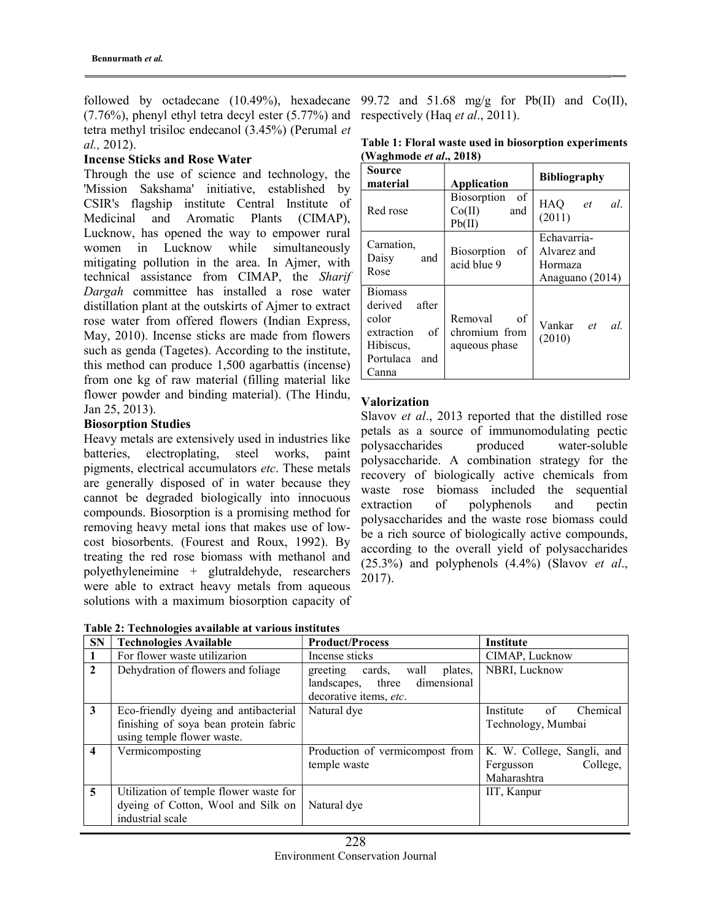followed by octadecane (10.49%), hexadecane (7.76%), phenyl ethyl tetra decyl ester (5.77%) and tetra methyl trisiloc endecanol (3.45%) (Perumal et al., 2012).

# Incense Sticks and Rose Water

Through the use of science and technology, the 'Mission Sakshama' initiative, established by CSIR's flagship institute Central Institute of Medicinal and Aromatic Plants (CIMAP), Lucknow, has opened the way to empower rural women in Lucknow while simultaneously mitigating pollution in the area. In Ajmer, with technical assistance from CIMAP, the Sharif Dargah committee has installed a rose water distillation plant at the outskirts of Ajmer to extract rose water from offered flowers (Indian Express, May, 2010). Incense sticks are made from flowers such as genda (Tagetes). According to the institute, this method can produce 1,500 agarbattis (incense) from one kg of raw material (filling material like flower powder and binding material). (The Hindu, Jan 25, 2013).

## Biosorption Studies

Heavy metals are extensively used in industries like batteries, electroplating, steel works, paint pigments, electrical accumulators etc. These metals are generally disposed of in water because they cannot be degraded biologically into innocuous compounds. Biosorption is a promising method for removing heavy metal ions that makes use of lowcost biosorbents. (Fourest and Roux, 1992). By treating the red rose biomass with methanol and polyethyleneimine + glutraldehyde, researchers were able to extract heavy metals from aqueous solutions with a maximum biosorption capacity of

Table 2: Technologies available at various institutes

99.72 and 51.68 mg/g for Pb(II) and Co(II), respectively (Haq et al., 2011).

Table 1: Floral waste used in biosorption experiments (Waghmode et al., 2018)

| <b>Source</b>                                                                                          |                                                 | <b>Bibliography</b>                                      |  |
|--------------------------------------------------------------------------------------------------------|-------------------------------------------------|----------------------------------------------------------|--|
| material                                                                                               | Application                                     |                                                          |  |
| Red rose                                                                                               | Biosorption of<br>Co(II)<br>and<br>Pb(II)       | HAO et al.<br>(2011)                                     |  |
| Carnation,<br>and<br>Daisy<br>Rose                                                                     | Biosorption of<br>acid blue 9                   | Echavarria-<br>Alvarez and<br>Hormaza<br>Anaguano (2014) |  |
| <b>Biomass</b><br>derived after<br>color<br>extraction<br>of<br>Hibiscus,<br>Portulaca<br>and<br>Canna | Removal<br>of<br>chromium from<br>aqueous phase | Vankar et al.<br>(2010)                                  |  |

## Valorization

Slavov et al., 2013 reported that the distilled rose petals as a source of immunomodulating pectic polysaccharides produced water-soluble polysaccharide. A combination strategy for the recovery of biologically active chemicals from waste rose biomass included the sequential extraction of polyphenols and pectin polysaccharides and the waste rose biomass could be a rich source of biologically active compounds, according to the overall yield of polysaccharides (25.3%) and polyphenols (4.4%) (Slavov et al., 2017).

| <b>SN</b>               | <b>Technologies Available</b>          | <b>Product/Process</b>                                                    | Institute                   |
|-------------------------|----------------------------------------|---------------------------------------------------------------------------|-----------------------------|
| $\mathbf{1}$            | For flower waste utilizarion           | Incense sticks                                                            | CIMAP, Lucknow              |
| $\overline{2}$          | Dehydration of flowers and foliage     | cards,<br>plates,<br>greeting<br>wall<br>dimensional<br>landscapes, three | NBRI, Lucknow               |
|                         |                                        | decorative items, etc.                                                    |                             |
| 3                       | Eco-friendly dyeing and antibacterial  | Natural dye                                                               | Chemical<br>Institute<br>of |
|                         | finishing of soya bean protein fabric  |                                                                           | Technology, Mumbai          |
|                         | using temple flower waste.             |                                                                           |                             |
| $\overline{\mathbf{4}}$ | Vermicomposting                        | Production of vermicompost from                                           | K. W. College, Sangli, and  |
|                         |                                        | temple waste                                                              | College,<br>Fergusson       |
|                         |                                        |                                                                           | Maharashtra                 |
| 5                       | Utilization of temple flower waste for |                                                                           | IIT, Kanpur                 |
|                         | dyeing of Cotton, Wool and Silk on     | Natural dye                                                               |                             |
|                         | industrial scale                       |                                                                           |                             |
|                         |                                        |                                                                           |                             |

Environment Conservation Journal 228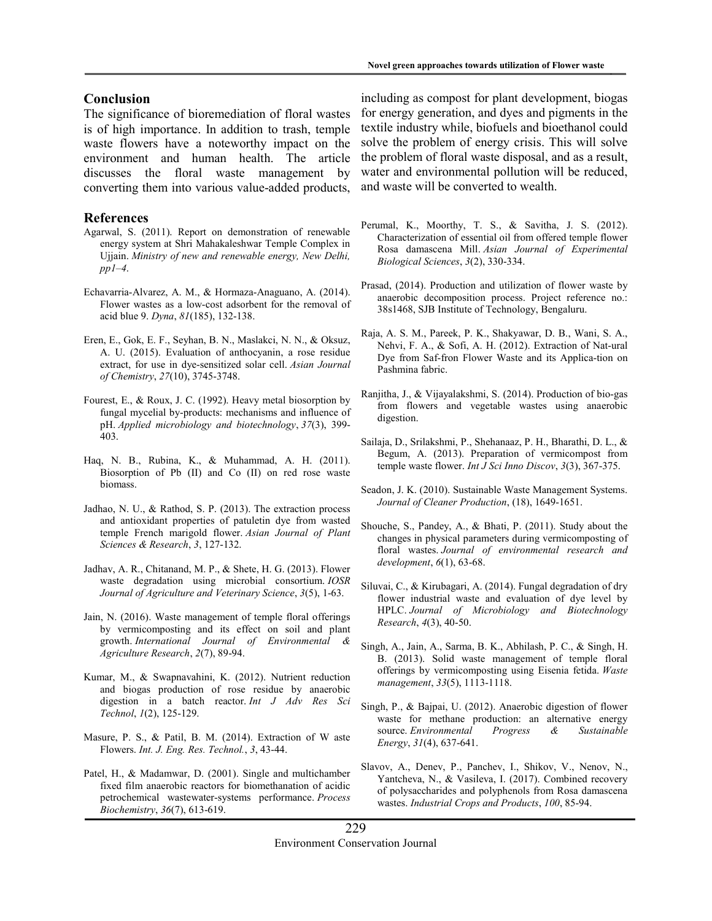#### Conclusion

The significance of bioremediation of floral wastes is of high importance. In addition to trash, temple waste flowers have a noteworthy impact on the environment and human health. The article discusses the floral waste management by converting them into various value-added products,

#### References

- Agarwal, S. (2011). Report on demonstration of renewable energy system at Shri Mahakaleshwar Temple Complex in Ujjain. Ministry of new and renewable energy, New Delhi,  $pp1–4.$
- Echavarria-Alvarez, A. M., & Hormaza-Anaguano, A. (2014). Flower wastes as a low-cost adsorbent for the removal of acid blue 9. Dyna, 81(185), 132-138.
- Eren, E., Gok, E. F., Seyhan, B. N., Maslakci, N. N., & Oksuz, A. U. (2015). Evaluation of anthocyanin, a rose residue extract, for use in dye-sensitized solar cell. Asian Journal of Chemistry, 27(10), 3745-3748.
- Fourest, E., & Roux, J. C. (1992). Heavy metal biosorption by fungal mycelial by-products: mechanisms and influence of pH. Applied microbiology and biotechnology, 37(3), 399- 403.
- Haq, N. B., Rubina, K., & Muhammad, A. H. (2011). Biosorption of Pb (II) and Co (II) on red rose waste biomass.
- Jadhao, N. U., & Rathod, S. P. (2013). The extraction process and antioxidant properties of patuletin dye from wasted temple French marigold flower. Asian Journal of Plant Sciences & Research, 3, 127-132.
- Jadhav, A. R., Chitanand, M. P., & Shete, H. G. (2013). Flower waste degradation using microbial consortium. IOSR Journal of Agriculture and Veterinary Science, 3(5), 1-63.
- Jain, N. (2016). Waste management of temple floral offerings by vermicomposting and its effect on soil and plant growth. International Journal of Environmental & Agriculture Research, 2(7), 89-94.
- Kumar, M., & Swapnavahini, K. (2012). Nutrient reduction and biogas production of rose residue by anaerobic digestion in a batch reactor. Int J Adv Res Sci Technol, 1(2), 125-129.
- Masure, P. S., & Patil, B. M. (2014). Extraction of W aste Flowers. Int. J. Eng. Res. Technol., 3, 43-44.
- Patel, H., & Madamwar, D. (2001). Single and multichamber fixed film anaerobic reactors for biomethanation of acidic petrochemical wastewater-systems performance. Process Biochemistry, 36(7), 613-619.

including as compost for plant development, biogas for energy generation, and dyes and pigments in the textile industry while, biofuels and bioethanol could solve the problem of energy crisis. This will solve the problem of floral waste disposal, and as a result, water and environmental pollution will be reduced, and waste will be converted to wealth.

- Perumal, K., Moorthy, T. S., & Savitha, J. S. (2012). Characterization of essential oil from offered temple flower Rosa damascena Mill. Asian Journal of Experimental Biological Sciences, 3(2), 330-334.
- Prasad, (2014). Production and utilization of flower waste by anaerobic decomposition process. Project reference no.: 38s1468, SJB Institute of Technology, Bengaluru.
- Raja, A. S. M., Pareek, P. K., Shakyawar, D. B., Wani, S. A., Nehvi, F. A., & Sofi, A. H. (2012). Extraction of Nat-ural Dye from Saf-fron Flower Waste and its Applica-tion on Pashmina fabric.
- Ranjitha, J., & Vijayalakshmi, S. (2014). Production of bio-gas from flowers and vegetable wastes using anaerobic digestion.
- Sailaja, D., Srilakshmi, P., Shehanaaz, P. H., Bharathi, D. L., & Begum, A. (2013). Preparation of vermicompost from temple waste flower. Int J Sci Inno Discov, 3(3), 367-375.
- Seadon, J. K. (2010). Sustainable Waste Management Systems. Journal of Cleaner Production, (18), 1649-1651.
- Shouche, S., Pandey, A., & Bhati, P. (2011). Study about the changes in physical parameters during vermicomposting of floral wastes. Journal of environmental research and development, 6(1), 63-68.
- Siluvai, C., & Kirubagari, A. (2014). Fungal degradation of dry flower industrial waste and evaluation of dye level by HPLC. Journal of Microbiology and Biotechnology Research, 4(3), 40-50.
- Singh, A., Jain, A., Sarma, B. K., Abhilash, P. C., & Singh, H. B. (2013). Solid waste management of temple floral offerings by vermicomposting using Eisenia fetida. Waste management, 33(5), 1113-1118.
- Singh, P., & Bajpai, U. (2012). Anaerobic digestion of flower waste for methane production: an alternative energy source. Environmental Progress & Sustainable Energy, 31(4), 637-641.
- Slavov, A., Denev, P., Panchev, I., Shikov, V., Nenov, N., Yantcheva, N., & Vasileva, I. (2017). Combined recovery of polysaccharides and polyphenols from Rosa damascena wastes. Industrial Crops and Products, 100, 85-94.